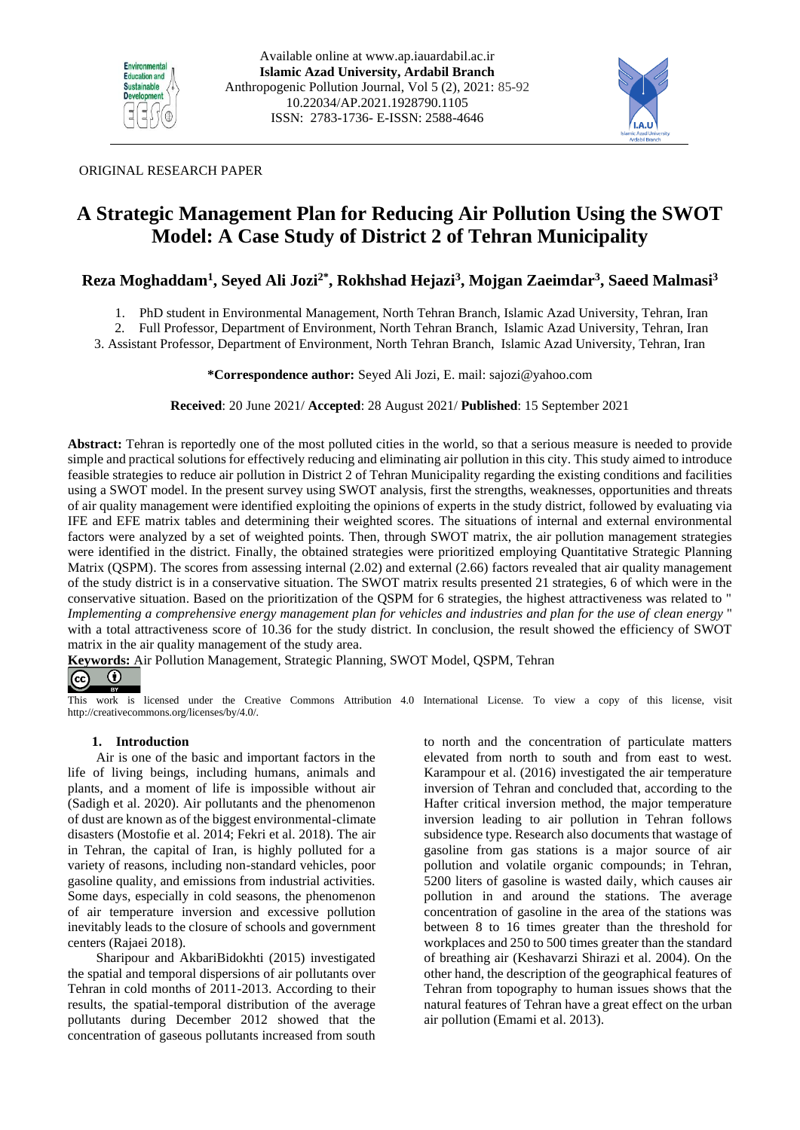



# ORIGINAL RESEARCH PAPER

# **A Strategic Management Plan for Reducing Air Pollution Using the SWOT Model: A Case Study of District 2 of Tehran Municipality**

# **Reza Moghaddam<sup>1</sup> , Seyed Ali Jozi2\*, Rokhshad Hejazi<sup>3</sup> , Mojgan Zaeimdar<sup>3</sup> , Saeed Malmasi<sup>3</sup>**

1. PhD student in Environmental Management, North Tehran Branch, Islamic Azad University, Tehran, Iran

2. Full Professor, Department of Environment, North Tehran Branch, Islamic Azad University, Tehran, Iran 3. Assistant Professor, Department of Environment, North Tehran Branch, Islamic Azad University, Tehran, Iran

**\*Correspondence author:** Seyed Ali Jozi, E. mail: [sajozi@yahoo.com](mailto:sajozi@yahoo.com)

**Received**: 20 June 2021/ **Accepted**: 28 August 2021/ **Published**: 15 September 2021

**Abstract:** Tehran is reportedly one of the most polluted cities in the world, so that a serious measure is needed to provide simple and practical solutions for effectively reducing and eliminating air pollution in this city. This study aimed to introduce feasible strategies to reduce air pollution in District 2 of Tehran Municipality regarding the existing conditions and facilities using a SWOT model. In the present survey using SWOT analysis, first the strengths, weaknesses, opportunities and threats of air quality management were identified exploiting the opinions of experts in the study district, followed by evaluating via IFE and EFE matrix tables and determining their weighted scores. The situations of internal and external environmental factors were analyzed by a set of weighted points. Then, through SWOT matrix, the air pollution management strategies were identified in the district. Finally, the obtained strategies were prioritized employing Quantitative Strategic Planning Matrix (QSPM). The scores from assessing internal (2.02) and external (2.66) factors revealed that air quality management of the study district is in a conservative situation. The SWOT matrix results presented 21 strategies, 6 of which were in the conservative situation. Based on the prioritization of the QSPM for 6 strategies, the highest attractiveness was related to " *Implementing a comprehensive energy management plan for vehicles and industries and plan for the use of clean energy* " with a total attractiveness score of 10.36 for the study district. In conclusion, the result showed the efficiency of SWOT matrix in the air quality management of the study area.

**Keywords:** Air Pollution Management, Strategic Planning, SWOT Model, QSPM, Tehran  $|$ (cc)  $(\dagger)$ 

This work is licensed under the Creative Commons Attribution 4.0 International License. To view a copy of this license, visit http://creativecommons.org/licenses/by/4.0/.

### **1. Introduction**

Air is one of the basic and important factors in the life of living beings, including humans, animals and plants, and a moment of life is impossible without air (Sadigh et al. 2020). Air pollutants and the phenomenon of dust are known as of the biggest environmental-climate disasters (Mostofie et al. 2014; Fekri et al. 2018). The air in Tehran, the capital of Iran, is highly polluted for a variety of reasons, including non-standard vehicles, poor gasoline quality, and emissions from industrial activities. Some days, especially in cold seasons, the phenomenon of air temperature inversion and excessive pollution inevitably leads to the closure of schools and government centers (Rajaei 2018).

Sharipour and AkbariBidokhti (2015) investigated the spatial and temporal dispersions of air pollutants over Tehran in cold months of 2011-2013. According to their results, the spatial-temporal distribution of the average pollutants during December 2012 showed that the concentration of gaseous pollutants increased from south

to north and the concentration of particulate matters elevated from north to south and from east to west. Karampour et al. (2016) investigated the air temperature inversion of Tehran and concluded that, according to the Hafter critical inversion method, the major temperature inversion leading to air pollution in Tehran follows subsidence type. Research also documents that wastage of gasoline from gas stations is a major source of air pollution and volatile organic compounds; in Tehran, 5200 liters of gasoline is wasted daily, which causes air pollution in and around the stations. The average concentration of gasoline in the area of the stations was between 8 to 16 times greater than the threshold for workplaces and 250 to 500 times greater than the standard of breathing air (Keshavarzi Shirazi et al. 2004). On the other hand, the description of the geographical features of Tehran from topography to human issues shows that the natural features of Tehran have a great effect on the urban air pollution (Emami et al. 2013).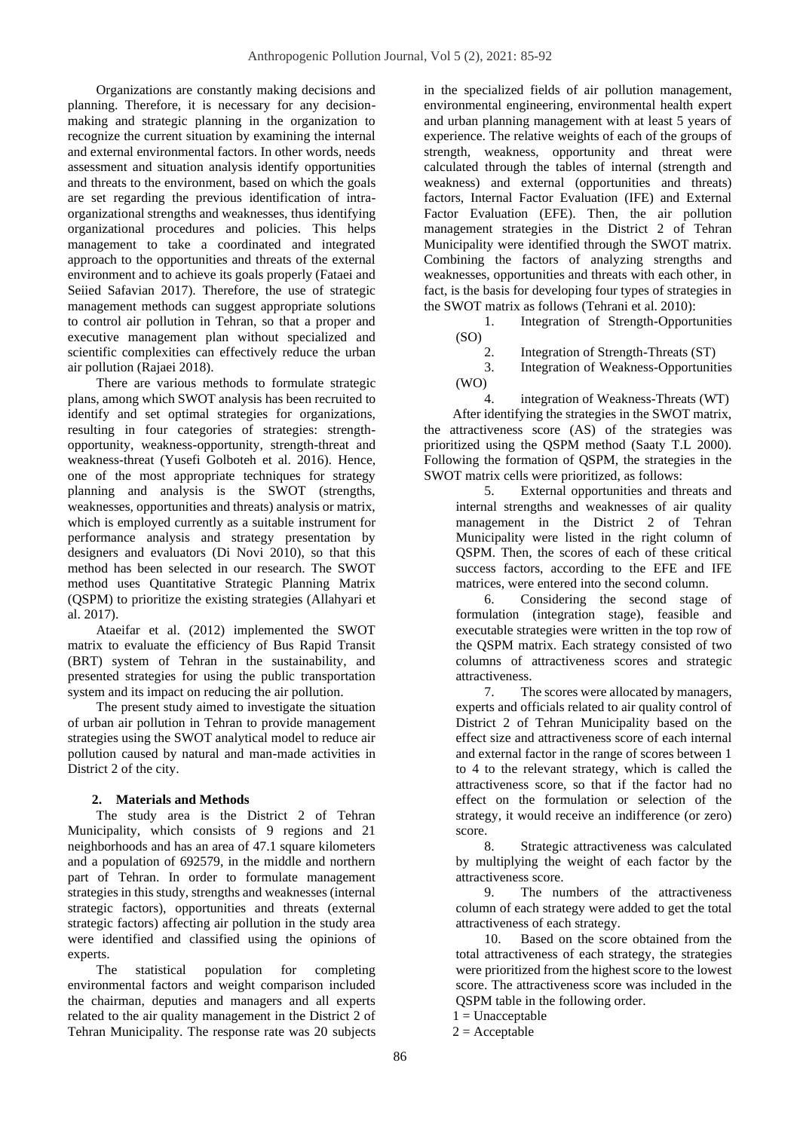Organizations are constantly making decisions and planning. Therefore, it is necessary for any decisionmaking and strategic planning in the organization to recognize the current situation by examining the internal and external environmental factors. In other words, needs assessment and situation analysis identify opportunities and threats to the environment, based on which the goals are set regarding the previous identification of intraorganizational strengths and weaknesses, thus identifying organizational procedures and policies. This helps management to take a coordinated and integrated approach to the opportunities and threats of the external environment and to achieve its goals properly (Fataei and Seiied Safavian 2017). Therefore, the use of strategic management methods can suggest appropriate solutions to control air pollution in Tehran, so that a proper and executive management plan without specialized and scientific complexities can effectively reduce the urban air pollution (Rajaei 2018).

There are various methods to formulate strategic plans, among which SWOT analysis has been recruited to identify and set optimal strategies for organizations, resulting in four categories of strategies: strengthopportunity, weakness-opportunity, strength-threat and weakness-threat (Yusefi Golboteh et al. 2016). Hence, one of the most appropriate techniques for strategy planning and analysis is the SWOT (strengths, weaknesses, opportunities and threats) analysis or matrix, which is employed currently as a suitable instrument for performance analysis and strategy presentation by designers and evaluators (Di Novi 2010), so that this method has been selected in our research. The SWOT method uses Quantitative Strategic Planning Matrix (QSPM) to prioritize the existing strategies (Allahyari et al. 2017).

Ataeifar et al. (2012) implemented the SWOT matrix to evaluate the efficiency of Bus Rapid Transit (BRT) system of Tehran in the sustainability, and presented strategies for using the public transportation system and its impact on reducing the air pollution.

The present study aimed to investigate the situation of urban air pollution in Tehran to provide management strategies using the SWOT analytical model to reduce air pollution caused by natural and man-made activities in District 2 of the city.

# **2. Materials and Methods**

The study area is the District 2 of Tehran Municipality, which consists of 9 regions and 21 neighborhoods and has an area of 47.1 square kilometers and a population of 692579, in the middle and northern part of Tehran. In order to formulate management strategies in this study, strengths and weaknesses (internal strategic factors), opportunities and threats (external strategic factors) affecting air pollution in the study area were identified and classified using the opinions of experts.

The statistical population for completing environmental factors and weight comparison included the chairman, deputies and managers and all experts related to the air quality management in the District 2 of Tehran Municipality. The response rate was 20 subjects in the specialized fields of air pollution management, environmental engineering, environmental health expert and urban planning management with at least 5 years of experience. The relative weights of each of the groups of strength, weakness, opportunity and threat were calculated through the tables of internal (strength and weakness) and external (opportunities and threats) factors, Internal Factor Evaluation (IFE) and External Factor Evaluation (EFE). Then, the air pollution management strategies in the District 2 of Tehran Municipality were identified through the SWOT matrix. Combining the factors of analyzing strengths and weaknesses, opportunities and threats with each other, in fact, is the basis for developing four types of strategies in the SWOT matrix as follows (Tehrani et al. 2010):

1. Integration of Strength-Opportunities (SO)

2. Integration of Strength-Threats (ST)

3. Integration of Weakness-Opportunities (WO)

4. integration of Weakness-Threats (WT) After identifying the strategies in the SWOT matrix, the attractiveness score (AS) of the strategies was prioritized using the QSPM method (Saaty T.L 2000). Following the formation of QSPM, the strategies in the SWOT matrix cells were prioritized, as follows:

5. External opportunities and threats and internal strengths and weaknesses of air quality management in the District 2 of Tehran Municipality were listed in the right column of QSPM. Then, the scores of each of these critical success factors, according to the EFE and IFE matrices, were entered into the second column.

6. Considering the second stage of formulation (integration stage), feasible and executable strategies were written in the top row of the QSPM matrix. Each strategy consisted of two columns of attractiveness scores and strategic attractiveness.

7. The scores were allocated by managers, experts and officials related to air quality control of District 2 of Tehran Municipality based on the effect size and attractiveness score of each internal and external factor in the range of scores between 1 to 4 to the relevant strategy, which is called the attractiveness score, so that if the factor had no effect on the formulation or selection of the strategy, it would receive an indifference (or zero) score.

8. Strategic attractiveness was calculated by multiplying the weight of each factor by the attractiveness score.

9. The numbers of the attractiveness column of each strategy were added to get the total attractiveness of each strategy.

10. Based on the score obtained from the total attractiveness of each strategy, the strategies were prioritized from the highest score to the lowest score. The attractiveness score was included in the QSPM table in the following order.

1 = Unacceptable

 $2 =$  Acceptable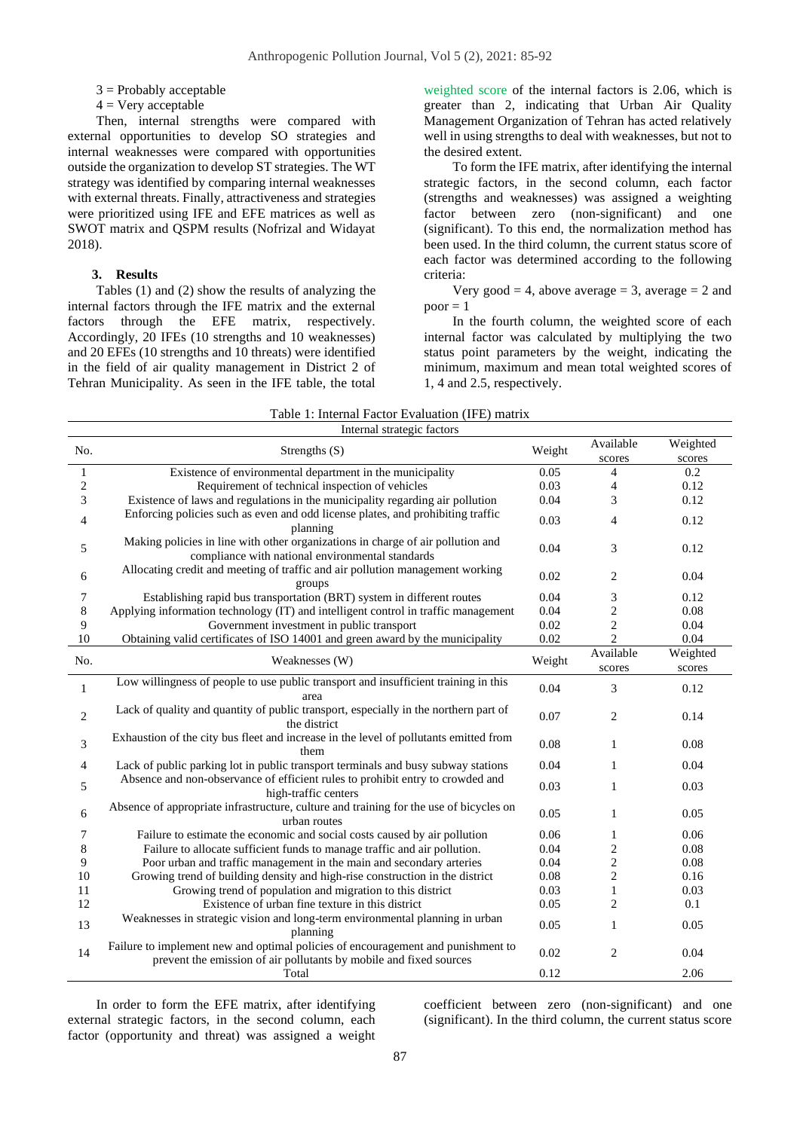$3$  = Probably acceptable

 $4 =$  Very acceptable

Then, internal strengths were compared with external opportunities to develop SO strategies and internal weaknesses were compared with opportunities outside the organization to develop ST strategies. The WT strategy was identified by comparing internal weaknesses with external threats. Finally, attractiveness and strategies were prioritized using IFE and EFE matrices as well as SWOT matrix and QSPM results (Nofrizal and Widayat 2018).

## **3. Results**

Tables (1) and (2) show the results of analyzing the internal factors through the IFE matrix and the external factors through the EFE matrix, respectively. Accordingly, 20 IFEs (10 strengths and 10 weaknesses) and 20 EFEs (10 strengths and 10 threats) were identified in the field of air quality management in District 2 of Tehran Municipality. As seen in the IFE table, the total weighted score of the internal factors is 2.06, which is greater than 2, indicating that Urban Air Quality Management Organization of Tehran has acted relatively well in using strengths to deal with weaknesses, but not to the desired extent.

To form the IFE matrix, after identifying the internal strategic factors, in the second column, each factor (strengths and weaknesses) was assigned a weighting factor between zero (non-significant) and one (significant). To this end, the normalization method has been used. In the third column, the current status score of each factor was determined according to the following criteria:

Very good  $= 4$ , above average  $= 3$ , average  $= 2$  and  $poor = 1$ 

In the fourth column, the weighted score of each internal factor was calculated by multiplying the two status point parameters by the weight, indicating the minimum, maximum and mean total weighted scores of 1, 4 and 2.5, respectively.

| Table 1: Internal Factor Evaluation (IFE) matrix |  |
|--------------------------------------------------|--|
|--------------------------------------------------|--|

| Internal strategic factors |                                                                                                                                                        |        |                |          |  |  |  |
|----------------------------|--------------------------------------------------------------------------------------------------------------------------------------------------------|--------|----------------|----------|--|--|--|
| No.                        | Strengths $(S)$                                                                                                                                        |        | Available      | Weighted |  |  |  |
|                            |                                                                                                                                                        |        | scores         | scores   |  |  |  |
| $\mathbf{1}$               | Existence of environmental department in the municipality                                                                                              | 0.05   | 4              | 0.2      |  |  |  |
| $\overline{c}$             | Requirement of technical inspection of vehicles                                                                                                        | 0.03   | $\overline{4}$ | 0.12     |  |  |  |
| 3                          | Existence of laws and regulations in the municipality regarding air pollution                                                                          | 0.04   | 3              | 0.12     |  |  |  |
| 4                          | Enforcing policies such as even and odd license plates, and prohibiting traffic<br>planning                                                            | 0.03   | $\overline{4}$ | 0.12     |  |  |  |
| 5                          | Making policies in line with other organizations in charge of air pollution and<br>compliance with national environmental standards                    | 0.04   | 3              | 0.12     |  |  |  |
| 6                          | Allocating credit and meeting of traffic and air pollution management working<br>groups                                                                | 0.02   | 2              | 0.04     |  |  |  |
| 7                          | Establishing rapid bus transportation (BRT) system in different routes                                                                                 | 0.04   | 3              | 0.12     |  |  |  |
| 8                          | Applying information technology (IT) and intelligent control in traffic management                                                                     | 0.04   | $\overline{c}$ | 0.08     |  |  |  |
| 9                          | Government investment in public transport                                                                                                              | 0.02   | $\mathbf{2}$   | 0.04     |  |  |  |
| 10                         | Obtaining valid certificates of ISO 14001 and green award by the municipality                                                                          | 0.02   | $\overline{2}$ | 0.04     |  |  |  |
|                            |                                                                                                                                                        |        | Available      | Weighted |  |  |  |
| No.                        | Weaknesses (W)                                                                                                                                         | Weight | scores         | scores   |  |  |  |
| $\mathbf{1}$               | Low willingness of people to use public transport and insufficient training in this<br>area                                                            | 0.04   | 3              | 0.12     |  |  |  |
| $\mathbf{2}$               | Lack of quality and quantity of public transport, especially in the northern part of<br>the district                                                   | 0.07   | 2              | 0.14     |  |  |  |
| 3                          | Exhaustion of the city bus fleet and increase in the level of pollutants emitted from<br>them                                                          | 0.08   | $\mathbf{1}$   | 0.08     |  |  |  |
| $\overline{4}$             | Lack of public parking lot in public transport terminals and busy subway stations                                                                      | 0.04   | 1              | 0.04     |  |  |  |
| 5                          | Absence and non-observance of efficient rules to prohibit entry to crowded and<br>high-traffic centers                                                 | 0.03   | $\mathbf{1}$   | 0.03     |  |  |  |
| 6                          | Absence of appropriate infrastructure, culture and training for the use of bicycles on<br>urban routes                                                 | 0.05   | $\mathbf{1}$   | 0.05     |  |  |  |
| 7                          | Failure to estimate the economic and social costs caused by air pollution                                                                              | 0.06   | 1              | 0.06     |  |  |  |
| 8                          | Failure to allocate sufficient funds to manage traffic and air pollution.                                                                              | 0.04   | $\overline{c}$ | 0.08     |  |  |  |
| 9                          | Poor urban and traffic management in the main and secondary arteries                                                                                   | 0.04   | $\overline{c}$ | 0.08     |  |  |  |
| 10                         | Growing trend of building density and high-rise construction in the district                                                                           | 0.08   | $\mathbf{2}$   | 0.16     |  |  |  |
| 11                         | Growing trend of population and migration to this district                                                                                             | 0.03   | $\mathbf{1}$   | 0.03     |  |  |  |
| 12                         | Existence of urban fine texture in this district                                                                                                       | 0.05   | $\overline{2}$ | 0.1      |  |  |  |
| 13                         | Weaknesses in strategic vision and long-term environmental planning in urban<br>planning                                                               | 0.05   | $\mathbf{1}$   | 0.05     |  |  |  |
| 14                         | Failure to implement new and optimal policies of encouragement and punishment to<br>prevent the emission of air pollutants by mobile and fixed sources | 0.02   | $\overline{2}$ | 0.04     |  |  |  |
|                            | Total                                                                                                                                                  | 0.12   |                | 2.06     |  |  |  |

In order to form the EFE matrix, after identifying external strategic factors, in the second column, each factor (opportunity and threat) was assigned a weight

coefficient between zero (non-significant) and one (significant). In the third column, the current status score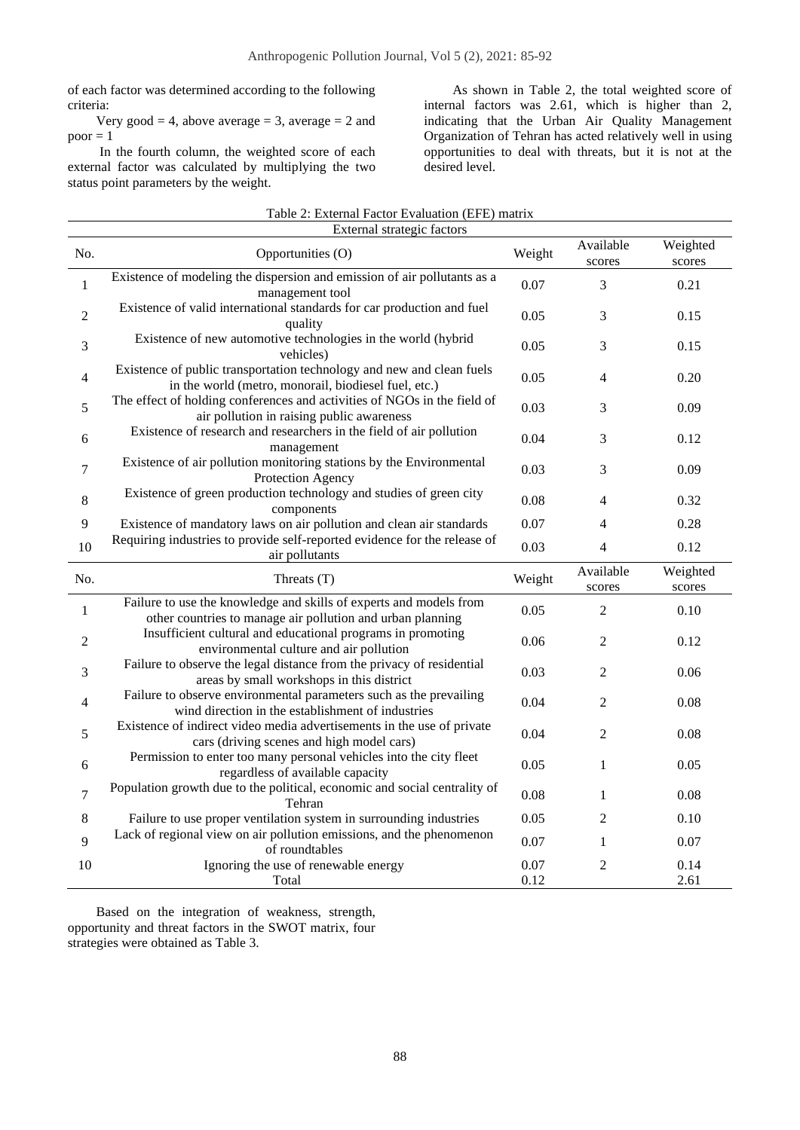of each factor was determined according to the following criteria:

Very good  $= 4$ , above average  $= 3$ , average  $= 2$  and  $poor = 1$ 

In the fourth column, the weighted score of each external factor was calculated by multiplying the two status point parameters by the weight.

As shown in Table 2, the total weighted score of internal factors was 2.61, which is higher than 2, indicating that the Urban Air Quality Management Organization of Tehran has acted relatively well in using opportunities to deal with threats, but it is not at the desired level.

|                | Table 2: External Factor Evaluation (EFE) matrix                                                                                 |              |                          |                    |  |  |  |  |
|----------------|----------------------------------------------------------------------------------------------------------------------------------|--------------|--------------------------|--------------------|--|--|--|--|
| No.            | External strategic factors<br>Opportunities (O)                                                                                  | Weight       | Available<br>scores      | Weighted<br>scores |  |  |  |  |
| $\mathbf{1}$   | Existence of modeling the dispersion and emission of air pollutants as a<br>management tool                                      | 0.07         | 3                        | 0.21               |  |  |  |  |
| $\overline{2}$ | Existence of valid international standards for car production and fuel<br>quality                                                | 0.05         | 3                        | 0.15               |  |  |  |  |
| 3              | Existence of new automotive technologies in the world (hybrid<br>vehicles)                                                       | 0.05         | 3                        | 0.15               |  |  |  |  |
| $\overline{4}$ | Existence of public transportation technology and new and clean fuels<br>in the world (metro, monorail, biodiesel fuel, etc.)    | 0.05         | $\overline{\mathcal{L}}$ | 0.20               |  |  |  |  |
| 5              | The effect of holding conferences and activities of NGOs in the field of<br>air pollution in raising public awareness            | 0.03         | 3                        | 0.09               |  |  |  |  |
| $\sqrt{6}$     | Existence of research and researchers in the field of air pollution<br>management                                                | 0.04         | 3                        | 0.12               |  |  |  |  |
| 7              | Existence of air pollution monitoring stations by the Environmental<br>Protection Agency                                         | 0.03         | 3                        | 0.09               |  |  |  |  |
| 8              | Existence of green production technology and studies of green city<br>components                                                 | 0.08         | 4                        | 0.32               |  |  |  |  |
| $\overline{9}$ | Existence of mandatory laws on air pollution and clean air standards                                                             | 0.07         | 4                        | 0.28               |  |  |  |  |
| 10             | Requiring industries to provide self-reported evidence for the release of<br>air pollutants                                      | 0.03         | 4                        | 0.12               |  |  |  |  |
| No.            | Threats (T)                                                                                                                      | Weight       | Available<br>scores      | Weighted<br>scores |  |  |  |  |
| $\mathbf{1}$   | Failure to use the knowledge and skills of experts and models from<br>other countries to manage air pollution and urban planning | 0.05         | 2                        | 0.10               |  |  |  |  |
| 2              | Insufficient cultural and educational programs in promoting<br>environmental culture and air pollution                           | 0.06         | 2                        | 0.12               |  |  |  |  |
| 3              | Failure to observe the legal distance from the privacy of residential<br>areas by small workshops in this district               | 0.03         | 2                        | 0.06               |  |  |  |  |
| $\overline{4}$ | Failure to observe environmental parameters such as the prevailing<br>wind direction in the establishment of industries          | 0.04         | 2                        | 0.08               |  |  |  |  |
| 5              | Existence of indirect video media advertisements in the use of private<br>cars (driving scenes and high model cars)              | 0.04         | $\overline{2}$           | 0.08               |  |  |  |  |
| 6              | Permission to enter too many personal vehicles into the city fleet<br>regardless of available capacity                           | 0.05         | 1                        | 0.05               |  |  |  |  |
| $\overline{7}$ | Population growth due to the political, economic and social centrality of<br>Tehran                                              | 0.08         | $\mathbf{1}$             | 0.08               |  |  |  |  |
| $\,8\,$        | Failure to use proper ventilation system in surrounding industries                                                               | 0.05         | 2                        | 0.10               |  |  |  |  |
| 9              | Lack of regional view on air pollution emissions, and the phenomenon<br>of roundtables                                           | 0.07         | $\mathbf{1}$             | 0.07               |  |  |  |  |
| 10             | Ignoring the use of renewable energy<br>Total                                                                                    | 0.07<br>0.12 | 2                        | 0.14<br>2.61       |  |  |  |  |

Based on the integration of weakness, strength, opportunity and threat factors in the SWOT matrix, four strategies were obtained as Table 3.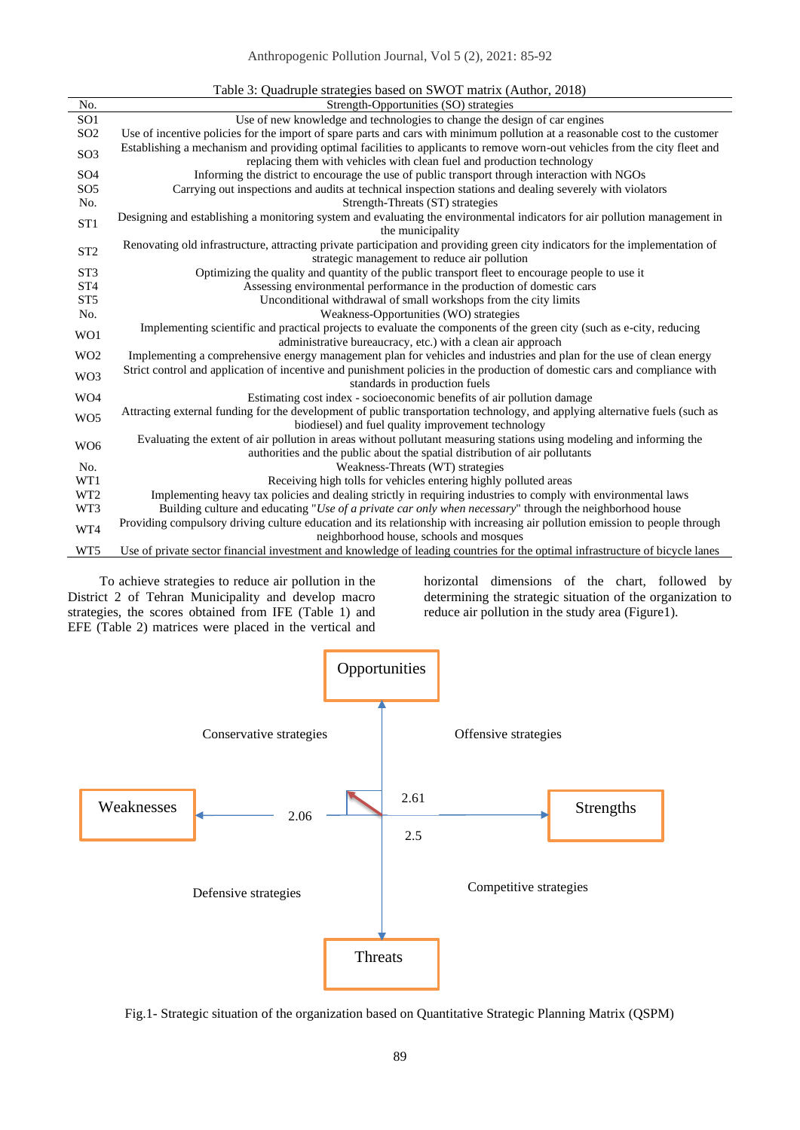## Anthropogenic Pollution Journal, Vol 5 (2), 2021: 85-92

|                 | Table 3: Quadruple strategies based on SWOT matrix (Author, 2018)                                                                                                                  |
|-----------------|------------------------------------------------------------------------------------------------------------------------------------------------------------------------------------|
| No.             | Strength-Opportunities (SO) strategies                                                                                                                                             |
| SO <sub>1</sub> | Use of new knowledge and technologies to change the design of car engines                                                                                                          |
| SO <sub>2</sub> | Use of incentive policies for the import of spare parts and cars with minimum pollution at a reasonable cost to the customer                                                       |
| SO <sub>3</sub> | Establishing a mechanism and providing optimal facilities to applicants to remove worn-out vehicles from the city fleet and                                                        |
|                 | replacing them with vehicles with clean fuel and production technology                                                                                                             |
| SO <sub>4</sub> | Informing the district to encourage the use of public transport through interaction with NGOs                                                                                      |
| SO <sub>5</sub> | Carrying out inspections and audits at technical inspection stations and dealing severely with violators                                                                           |
| No.             | Strength-Threats (ST) strategies                                                                                                                                                   |
| ST <sub>1</sub> | Designing and establishing a monitoring system and evaluating the environmental indicators for air pollution management in                                                         |
|                 | the municipality                                                                                                                                                                   |
| ST <sub>2</sub> | Renovating old infrastructure, attracting private participation and providing green city indicators for the implementation of                                                      |
|                 | strategic management to reduce air pollution                                                                                                                                       |
| ST <sub>3</sub> | Optimizing the quality and quantity of the public transport fleet to encourage people to use it                                                                                    |
| ST <sub>4</sub> | Assessing environmental performance in the production of domestic cars                                                                                                             |
| ST <sub>5</sub> | Unconditional withdrawal of small workshops from the city limits                                                                                                                   |
| No.             | Weakness-Opportunities (WO) strategies                                                                                                                                             |
| WO1             | Implementing scientific and practical projects to evaluate the components of the green city (such as e-city, reducing                                                              |
|                 | administrative bureaucracy, etc.) with a clean air approach                                                                                                                        |
| W <sub>O2</sub> | Implementing a comprehensive energy management plan for vehicles and industries and plan for the use of clean energy                                                               |
| WO3             | Strict control and application of incentive and punishment policies in the production of domestic cars and compliance with                                                         |
|                 | standards in production fuels                                                                                                                                                      |
| WO4             | Estimating cost index - socioeconomic benefits of air pollution damage                                                                                                             |
| WO <sub>5</sub> | Attracting external funding for the development of public transportation technology, and applying alternative fuels (such as<br>biodiesel) and fuel quality improvement technology |
|                 | Evaluating the extent of air pollution in areas without pollutant measuring stations using modeling and informing the                                                              |
| W <sub>O6</sub> | authorities and the public about the spatial distribution of air pollutants                                                                                                        |
| No.             | Weakness-Threats (WT) strategies                                                                                                                                                   |
| WT1             | Receiving high tolls for vehicles entering highly polluted areas                                                                                                                   |
| WT <sub>2</sub> | Implementing heavy tax policies and dealing strictly in requiring industries to comply with environmental laws                                                                     |
| WT3             | Building culture and educating "Use of a private car only when necessary" through the neighborhood house                                                                           |
|                 | Providing compulsory driving culture education and its relationship with increasing air pollution emission to people through                                                       |
| WT4             | neighborhood house, schools and mosques                                                                                                                                            |
|                 |                                                                                                                                                                                    |
| WT5             | Use of private sector financial investment and knowledge of leading countries for the optimal infrastructure of bicycle lanes                                                      |

To achieve strategies to reduce air pollution in the District 2 of Tehran Municipality and develop macro strategies, the scores obtained from IFE (Table 1) and EFE (Table 2) matrices were placed in the vertical and

horizontal dimensions of the chart, followed by determining the strategic situation of the organization to reduce air pollution in the study area (Figure1).



Fig.1- Strategic situation of the organization based on Quantitative Strategic Planning Matrix (QSPM)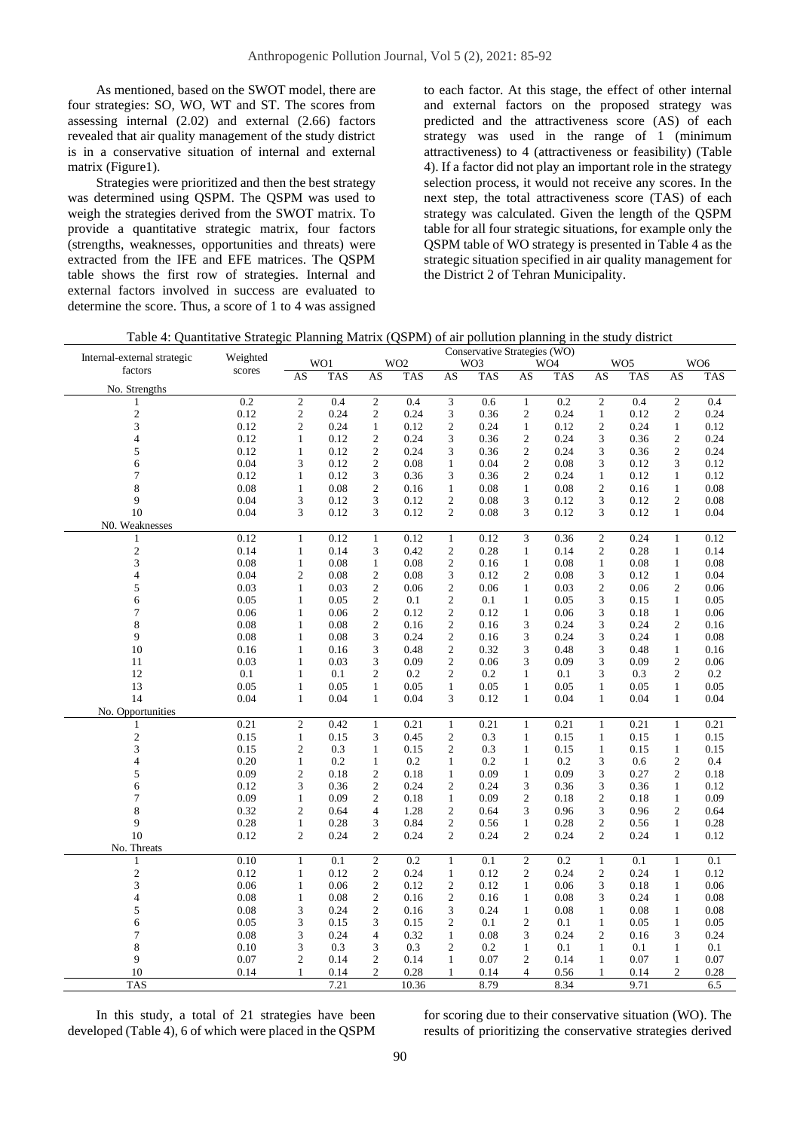As mentioned, based on the SWOT model, there are four strategies: SO, WO, WT and ST. The scores from assessing internal (2.02) and external (2.66) factors revealed that air quality management of the study district is in a conservative situation of internal and external matrix (Figure1).

Strategies were prioritized and then the best strategy was determined using QSPM. The QSPM was used to weigh the strategies derived from the SWOT matrix. To provide a quantitative strategic matrix, four factors (strengths, weaknesses, opportunities and threats) were extracted from the IFE and EFE matrices. The QSPM table shows the first row of strategies. Internal and external factors involved in success are evaluated to determine the score. Thus, a score of 1 to 4 was assigned

to each factor. At this stage, the effect of other internal and external factors on the proposed strategy was predicted and the attractiveness score (AS) of each strategy was used in the range of 1 (minimum attractiveness) to 4 (attractiveness or feasibility) (Table 4). If a factor did not play an important role in the strategy selection process, it would not receive any scores. In the next step, the total attractiveness score (TAS) of each strategy was calculated. Given the length of the QSPM table for all four strategic situations, for example only the QSPM table of WO strategy is presented in Table 4 as the strategic situation specified in air quality management for the District 2 of Tehran Municipality.

| Table 4: Quantitative Strategic Planning Matrix (QSPM) of air pollution planning in the study district |  |  |  |
|--------------------------------------------------------------------------------------------------------|--|--|--|
|                                                                                                        |  |  |  |

| Internal-external strategic | Weighted     | Conservative Strategies (WO) |              |                                  |                 |                                  |      |                                |                 |                                  |                 |                                |                 |
|-----------------------------|--------------|------------------------------|--------------|----------------------------------|-----------------|----------------------------------|------|--------------------------------|-----------------|----------------------------------|-----------------|--------------------------------|-----------------|
| factors                     | scores       |                              | WO1          |                                  | WO <sub>2</sub> |                                  | WO3  |                                | WO <sub>4</sub> |                                  | WO <sub>5</sub> |                                | WO <sub>6</sub> |
| No. Strengths               |              | AS                           | TAS          | AS                               | <b>TAS</b>      | AS                               | TAS  | AS                             | TAS             | AS                               | <b>TAS</b>      | AS                             | <b>TAS</b>      |
| 1                           | 0.2          | $\sqrt{2}$                   | 0.4          | $\overline{2}$                   | 0.4             | 3                                | 0.6  | $\mathbf{1}$                   | 0.2             | $\overline{\mathbf{c}}$          | 0.4             | $\overline{2}$                 | 0.4             |
| $\mathbf{2}$                | 0.12         | $\mathbf{2}$                 | 0.24         | $\mathfrak{2}$                   | 0.24            | 3                                | 0.36 | $\mathfrak{2}$                 | 0.24            | $\mathbf{1}$                     | 0.12            | 2                              | 0.24            |
| 3                           | 0.12         | $\overline{c}$               | 0.24         |                                  | 0.12            |                                  | 0.24 |                                |                 | $\overline{c}$                   | 0.24            |                                |                 |
| 4                           | 0.12         | $\mathbf{1}$                 | 0.12         | $\mathbf{1}$<br>$\overline{2}$   | 0.24            | 2<br>3                           | 0.36 | $\mathbf{1}$<br>$\mathfrak{2}$ | 0.12<br>0.24    | 3                                | 0.36            | $\mathbf{1}$<br>$\mathfrak{2}$ | 0.12<br>0.24    |
| 5                           | 0.12         | $\mathbf{1}$                 | 0.12         | $\mathfrak{2}$                   | 0.24            | 3                                | 0.36 | $\boldsymbol{2}$               | 0.24            | 3                                | 0.36            | $\mathfrak{2}$                 | 0.24            |
| 6                           | 0.04         | 3                            | 0.12         | $\mathfrak{2}$                   | 0.08            | $\mathbf{1}$                     | 0.04 | $\sqrt{2}$                     | 0.08            | 3                                | 0.12            | 3                              | 0.12            |
| 7                           | 0.12         | $\mathbf{1}$                 | 0.12         | 3                                | 0.36            | 3                                | 0.36 | $\mathfrak{2}$                 | 0.24            | $\mathbf{1}$                     | 0.12            | $\mathbf{1}$                   | 0.12            |
| 8                           | 0.08         | 1                            | 0.08         | $\mathfrak{2}$                   | 0.16            | 1                                | 0.08 | $\mathbf{1}$                   | 0.08            | $\mathfrak{2}$                   | 0.16            | $\mathbf{1}$                   | 0.08            |
| 9                           | 0.04         | 3                            | 0.12         | 3                                | 0.12            | $\overline{c}$                   | 0.08 | 3                              | 0.12            | 3                                | 0.12            | $\mathfrak{2}$                 | 0.08            |
| 10                          | 0.04         | 3                            | 0.12         | 3                                | 0.12            | 2                                | 0.08 | 3                              | 0.12            | 3                                | 0.12            | $\mathbf{1}$                   | 0.04            |
| N0. Weaknesses              |              |                              |              |                                  |                 |                                  |      |                                |                 |                                  |                 |                                |                 |
|                             | 0.12         |                              | 0.12         |                                  | 0.12            |                                  | 0.12 | 3                              |                 |                                  | 0.24            |                                |                 |
| 1<br>$\mathbf{2}$           | 0.14         | $\mathbf{1}$<br>$\mathbf{1}$ | 0.14         | $\mathbf{1}$<br>3                | 0.42            | $\mathbf{1}$<br>$\overline{c}$   | 0.28 | $\mathbf{1}$                   | 0.36<br>0.14    | $\mathfrak{2}$<br>$\mathfrak{2}$ | 0.28            | $\mathbf{1}$<br>$\mathbf{1}$   | 0.12<br>0.14    |
|                             |              |                              |              |                                  | 0.08            |                                  |      |                                |                 |                                  |                 |                                |                 |
| 3                           | 0.08<br>0.04 | $\mathbf{1}$                 | 0.08         | $\mathbf{1}$<br>$\mathfrak{2}$   | 0.08            | $\overline{c}$                   | 0.16 | $\mathbf{1}$<br>$\mathfrak{2}$ | 0.08            | $\mathbf{1}$                     | 0.08            | $\mathbf{1}$                   | 0.08            |
| 4                           |              | 2                            | 0.08         |                                  |                 | 3                                | 0.12 |                                | 0.08            | 3                                | 0.12            | $\mathbf{1}$                   | 0.04            |
| 5<br>6                      | 0.03<br>0.05 | $\mathbf{1}$<br>$\mathbf{1}$ | 0.03<br>0.05 | $\mathfrak{2}$<br>$\mathfrak{2}$ | 0.06            | $\mathfrak{2}$<br>$\overline{c}$ | 0.06 | $\mathbf{1}$<br>$\mathbf{1}$   | 0.03            | $\mathfrak{2}$<br>3              | 0.06            | $\mathfrak{2}$<br>$\mathbf{1}$ | 0.06            |
|                             |              |                              |              |                                  | 0.1             |                                  | 0.1  |                                | 0.05            |                                  | 0.15            |                                | 0.05            |
| 7                           | 0.06         | $\mathbf{1}$                 | 0.06         | $\mathfrak{2}$                   | 0.12            | $\mathfrak{2}$                   | 0.12 | $\mathbf{1}$                   | 0.06            | 3                                | 0.18            | $\mathbf{1}$                   | 0.06            |
| 8<br>9                      | 0.08         | 1                            | 0.08         | $\overline{c}$                   | 0.16            | 2                                | 0.16 | 3                              | 0.24            | 3                                | 0.24            | $\overline{c}$                 | 0.16            |
|                             | 0.08         | $\mathbf{1}$                 | 0.08         | 3                                | 0.24            | $\overline{c}$                   | 0.16 | 3                              | 0.24            | 3                                | 0.24            | $\mathbf{1}$                   | 0.08            |
| 10                          | 0.16         | $\mathbf{1}$                 | 0.16         | 3                                | 0.48            | $\mathfrak{2}$                   | 0.32 | 3                              | 0.48            | 3                                | 0.48            | $\mathbf{1}$                   | 0.16            |
| 11                          | 0.03         | 1                            | 0.03         | 3                                | 0.09            | $\overline{\mathbf{c}}$          | 0.06 | 3                              | 0.09            | 3                                | 0.09            | $\sqrt{2}$                     | 0.06            |
| 12                          | 0.1          | $\mathbf{1}$                 | 0.1          | $\mathfrak{2}$                   | 0.2             | 2                                | 0.2  | $\mathbf{1}$                   | 0.1             | 3                                | 0.3             | $\mathfrak{2}$                 | 0.2             |
| 13                          | 0.05         | $\mathbf{1}$                 | 0.05         | $\mathbf{1}$                     | 0.05            | $\mathbf{1}$                     | 0.05 | $\mathbf{1}$                   | 0.05            | $\mathbf{1}$                     | 0.05            | $\mathbf{1}$                   | 0.05            |
| 14                          | 0.04         | $\mathbf{1}$                 | 0.04         | $\mathbf{1}$                     | 0.04            | 3                                | 0.12 | $\mathbf{1}$                   | 0.04            | $\mathbf{1}$                     | 0.04            | $\mathbf{1}$                   | 0.04            |
| No. Opportunities           |              |                              |              |                                  |                 |                                  |      |                                |                 |                                  |                 |                                |                 |
| 1                           | 0.21         | $\mathbf{2}$                 | 0.42         | $\mathbf{1}$                     | 0.21            | $\mathbf{1}$                     | 0.21 | $\mathbf{1}$                   | 0.21            | $\mathbf{1}$                     | 0.21            | $\mathbf{1}$                   | 0.21            |
| $\overline{c}$              | 0.15         | $\mathbf{1}$                 | 0.15         | 3                                | 0.45            | $\overline{c}$                   | 0.3  | $\mathbf{1}$                   | 0.15            | $\mathbf{1}$                     | 0.15            | $\mathbf{1}$                   | 0.15            |
| 3                           | 0.15         | $\overline{c}$               | 0.3          | $\mathbf{1}$                     | 0.15            | $\overline{c}$                   | 0.3  | $\mathbf{1}$                   | 0.15            | $\mathbf{1}$                     | 0.15            | $\mathbf{1}$                   | 0.15            |
| 4                           | 0.20         | $\mathbf{1}$                 | 0.2          | $\mathbf{1}$                     | 0.2             | 1                                | 0.2  | $\mathbf{1}$                   | 0.2             | 3                                | 0.6             | $\mathfrak{2}$                 | 0.4             |
| 5                           | 0.09         | $\mathfrak{2}$               | 0.18         | $\mathfrak{2}$                   | 0.18            | $\mathbf{1}$                     | 0.09 | $\mathbf{1}$                   | 0.09            | 3                                | 0.27            | $\mathfrak{2}$                 | 0.18            |
| 6                           | 0.12         | 3                            | 0.36         | $\mathfrak{2}$                   | 0.24            | 2                                | 0.24 | 3                              | 0.36            | 3                                | 0.36            | $\mathbf{1}$                   | 0.12            |
| 7                           | 0.09         | $\mathbf{1}$                 | 0.09         | $\overline{2}$                   | 0.18            | $\mathbf{1}$                     | 0.09 | $\overline{2}$                 | 0.18            | $\mathfrak{2}$                   | 0.18            | $\mathbf{1}$                   | 0.09            |
| 8<br>9                      | 0.32         | $\mathbf{2}$                 | 0.64         | $\overline{4}$                   | 1.28            | $\overline{c}$                   | 0.64 | 3                              | 0.96            | 3                                | 0.96            | $\mathfrak{2}$                 | 0.64            |
|                             | 0.28         | $\mathbf{1}$                 | 0.28         | 3                                | 0.84            | 2                                | 0.56 | $\mathbf{1}$                   | 0.28            | $\boldsymbol{2}$                 | 0.56            | $\mathbf{1}$                   | 0.28            |
| 10                          | 0.12         | $\overline{c}$               | 0.24         | $\mathbf{2}$                     | 0.24            | $\overline{2}$                   | 0.24 | $\overline{2}$                 | 0.24            | $\overline{c}$                   | 0.24            | $\mathbf{1}$                   | 0.12            |
| No. Threats                 |              |                              |              |                                  |                 |                                  |      |                                |                 |                                  |                 |                                |                 |
| $\mathbf{1}$                | 0.10         | $\mathbf{1}$                 | 0.1          | $\sqrt{2}$                       | 0.2             | $\mathbf{1}$                     | 0.1  | $\sqrt{2}$                     | 0.2             | $\mathbf{1}$                     | 0.1             | $\mathbf{1}$                   | 0.1             |
| $\overline{c}$              | 0.12         | $\mathbf{1}$                 | 0.12         | $\mathfrak{2}$                   | 0.24            | $\mathbf{1}$                     | 0.12 | $\mathfrak{2}$                 | 0.24            | $\mathfrak{2}$                   | 0.24            | $\mathbf{1}$                   | 0.12            |
| 3                           | 0.06         | $\mathbf{1}$                 | 0.06         | $\mathfrak{2}$                   | 0.12            | $\mathfrak{2}$                   | 0.12 | $\mathbf{1}$                   | 0.06            | 3                                | 0.18            | $\mathbf{1}$                   | 0.06            |
| 4                           | 0.08         | $\mathbf{1}$                 | 0.08         | $\sqrt{2}$                       | 0.16            | $\mathfrak{2}$                   | 0.16 | $\mathbf{1}$                   | 0.08            | 3                                | 0.24            | $\mathbf{1}$                   | 0.08            |
| 5                           | 0.08         | 3                            | 0.24         | $\mathfrak{2}$                   | 0.16            | 3                                | 0.24 | $\mathbf{1}$                   | 0.08            | $\mathbf{1}$                     | 0.08            | $\mathbf{1}$                   | 0.08            |
| 6                           | 0.05         | 3                            | 0.15         | 3                                | 0.15            | 2                                | 0.1  | $\mathfrak{2}$                 | 0.1             | $\mathbf{1}$                     | 0.05            | $\mathbf{1}$                   | 0.05            |
| 7                           | 0.08         | 3                            | 0.24         | $\overline{4}$                   | 0.32            | 1                                | 0.08 | 3                              | 0.24            | $\mathfrak{2}$                   | 0.16            | 3                              | 0.24            |
| 8                           | 0.10         | 3                            | 0.3          | 3                                | 0.3             | $\overline{2}$                   | 0.2  | $\mathbf{1}$                   | 0.1             | $\mathbf{1}$                     | 0.1             | $\mathbf{1}$                   | 0.1             |
| 9                           | 0.07         | $\overline{c}$               | 0.14         | $\mathfrak{2}$                   | 0.14            | $\mathbf{1}$                     | 0.07 | $\mathfrak{2}$                 | 0.14            | 1                                | 0.07            | $\mathbf{1}$                   | 0.07            |
| 10                          | 0.14         | 1                            | 0.14         | $\overline{c}$                   | 0.28            |                                  | 0.14 | $\overline{4}$                 | 0.56            | $\mathbf{1}$                     | 0.14            | $\mathfrak{2}$                 | 0.28            |
| <b>TAS</b>                  |              |                              | 7.21         |                                  | 10.36           |                                  | 8.79 |                                | 8.34            |                                  | 9.71            |                                | 6.5             |

In this study, a total of 21 strategies have been developed (Table 4), 6 of which were placed in the QSPM

for scoring due to their conservative situation (WO). The results of prioritizing the conservative strategies derived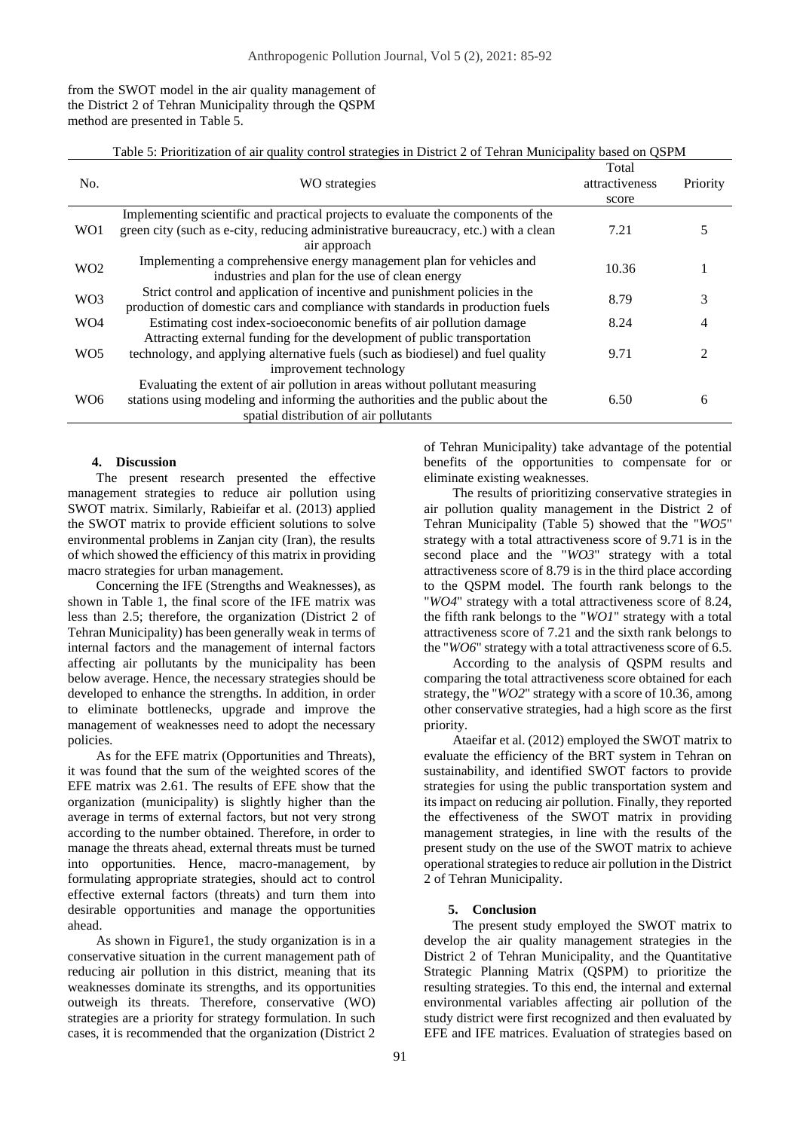from the SWOT model in the air quality management of the District 2 of Tehran Municipality through the QSPM method are presented in Table 5.

Table 5: Prioritization of air quality control strategies in District 2 of Tehran Municipality based on QSPM

| No.              | WO strategies                                                                                                                                                                                           | Total<br>attractiveness<br>score | Priority |
|------------------|---------------------------------------------------------------------------------------------------------------------------------------------------------------------------------------------------------|----------------------------------|----------|
| WO1              | Implementing scientific and practical projects to evaluate the components of the<br>green city (such as e-city, reducing administrative bureaucracy, etc.) with a clean<br>air approach                 | 7.21                             |          |
| WO <sub>2</sub>  | Implementing a comprehensive energy management plan for vehicles and<br>industries and plan for the use of clean energy                                                                                 | 10.36                            |          |
| WO3              | Strict control and application of incentive and punishment policies in the<br>production of domestic cars and compliance with standards in production fuels                                             | 8.79                             | 3        |
| WO <sub>4</sub>  | Estimating cost index-socioeconomic benefits of air pollution damage<br>Attracting external funding for the development of public transportation                                                        | 8.24                             |          |
| W <sub>O5</sub>  | technology, and applying alternative fuels (such as biodiesel) and fuel quality<br>improvement technology                                                                                               | 9.71                             | 2        |
| W <sub>O</sub> 6 | Evaluating the extent of air pollution in areas without pollutant measuring<br>stations using modeling and informing the authorities and the public about the<br>spatial distribution of air pollutants | 6.50                             | 6        |

## **4. Discussion**

The present research presented the effective management strategies to reduce air pollution using SWOT matrix. Similarly, Rabieifar et al. (2013) applied the SWOT matrix to provide efficient solutions to solve environmental problems in Zanjan city (Iran), the results of which showed the efficiency of this matrix in providing macro strategies for urban management.

Concerning the IFE (Strengths and Weaknesses), as shown in Table 1, the final score of the IFE matrix was less than 2.5; therefore, the organization (District 2 of Tehran Municipality) has been generally weak in terms of internal factors and the management of internal factors affecting air pollutants by the municipality has been below average. Hence, the necessary strategies should be developed to enhance the strengths. In addition, in order to eliminate bottlenecks, upgrade and improve the management of weaknesses need to adopt the necessary policies.

As for the EFE matrix (Opportunities and Threats), it was found that the sum of the weighted scores of the EFE matrix was 2.61. The results of EFE show that the organization (municipality) is slightly higher than the average in terms of external factors, but not very strong according to the number obtained. Therefore, in order to manage the threats ahead, external threats must be turned into opportunities. Hence, macro-management, by formulating appropriate strategies, should act to control effective external factors (threats) and turn them into desirable opportunities and manage the opportunities ahead.

As shown in Figure1, the study organization is in a conservative situation in the current management path of reducing air pollution in this district, meaning that its weaknesses dominate its strengths, and its opportunities outweigh its threats. Therefore, conservative (WO) strategies are a priority for strategy formulation. In such cases, it is recommended that the organization (District 2

of Tehran Municipality) take advantage of the potential benefits of the opportunities to compensate for or eliminate existing weaknesses.

The results of prioritizing conservative strategies in air pollution quality management in the District 2 of Tehran Municipality (Table 5) showed that the "*WO5*" strategy with a total attractiveness score of 9.71 is in the second place and the "*WO3*" strategy with a total attractiveness score of 8.79 is in the third place according to the QSPM model. The fourth rank belongs to the "*WO4*" strategy with a total attractiveness score of 8.24, the fifth rank belongs to the "*WO1*" strategy with a total attractiveness score of 7.21 and the sixth rank belongs to the "*WO6*" strategy with a total attractiveness score of 6.5.

According to the analysis of QSPM results and comparing the total attractiveness score obtained for each strategy, the "*WO2*" strategy with a score of 10.36, among other conservative strategies, had a high score as the first priority.

Ataeifar et al. (2012) employed the SWOT matrix to evaluate the efficiency of the BRT system in Tehran on sustainability, and identified SWOT factors to provide strategies for using the public transportation system and its impact on reducing air pollution. Finally, they reported the effectiveness of the SWOT matrix in providing management strategies, in line with the results of the present study on the use of the SWOT matrix to achieve operational strategies to reduce air pollution in the District 2 of Tehran Municipality.

# **5. Conclusion**

The present study employed the SWOT matrix to develop the air quality management strategies in the District 2 of Tehran Municipality, and the Quantitative Strategic Planning Matrix (QSPM) to prioritize the resulting strategies. To this end, the internal and external environmental variables affecting air pollution of the study district were first recognized and then evaluated by EFE and IFE matrices. Evaluation of strategies based on